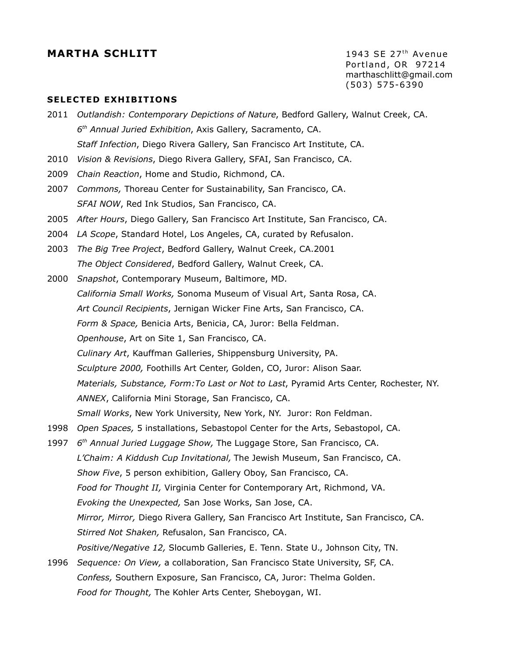# **MARTHA SCHLITT** 1943 SE 27<sup>th</sup> Avenue

Portland, OR 97214 marthaschlitt@gmail.com (503) 575-6390

#### **SELECTED EXHIBITIONS**

- 2011 *Outlandish: Contemporary Depictions of Nature*, Bedford Gallery, Walnut Creek, CA. *6 th Annual Juried Exhibition*, Axis Gallery, Sacramento, CA. *Staff Infection*, Diego Rivera Gallery, San Francisco Art Institute, CA.
- 2010 *Vision & Revisions*, Diego Rivera Gallery, SFAI, San Francisco, CA.
- 2009 *Chain Reaction*, Home and Studio, Richmond, CA.
- 2007 *Commons,* Thoreau Center for Sustainability, San Francisco, CA. *SFAI NOW*, Red Ink Studios, San Francisco, CA.
- 2005 *After Hours*, Diego Gallery, San Francisco Art Institute, San Francisco, CA.
- 2004 *LA Scope*, Standard Hotel, Los Angeles, CA, curated by Refusalon.
- 2003 *The Big Tree Project*, Bedford Gallery, Walnut Creek, CA.2001 *The Object Considered*, Bedford Gallery, Walnut Creek, CA.
- 2000 *Snapshot*, Contemporary Museum, Baltimore, MD. *California Small Works,* Sonoma Museum of Visual Art, Santa Rosa, CA. *Art Council Recipients*, Jernigan Wicker Fine Arts, San Francisco, CA. *Form & Space,* Benicia Arts, Benicia, CA, Juror: Bella Feldman. *Openhouse*, Art on Site 1, San Francisco, CA. *Culinary Art*, Kauffman Galleries, Shippensburg University, PA. *Sculpture 2000,* Foothills Art Center, Golden, CO, Juror: Alison Saar. *Materials, Substance, Form:To Last or Not to Last*, Pyramid Arts Center, Rochester, NY. *ANNEX*, California Mini Storage, San Francisco, CA. *Small Works*, New York University, New York, NY. Juror: Ron Feldman.
- 1998 *Open Spaces,* 5 installations, Sebastopol Center for the Arts, Sebastopol, CA.
- 1997 *6 th Annual Juried Luggage Show,* The Luggage Store, San Francisco, CA. *L'Chaim: A Kiddush Cup Invitational,* The Jewish Museum, San Francisco, CA. *Show Five*, 5 person exhibition, Gallery Oboy, San Francisco, CA. *Food for Thought II,* Virginia Center for Contemporary Art, Richmond, VA. *Evoking the Unexpected,* San Jose Works, San Jose, CA. *Mirror, Mirror,* Diego Rivera Gallery, San Francisco Art Institute, San Francisco, CA. *Stirred Not Shaken,* Refusalon, San Francisco, CA. *Positive/Negative 12,* Slocumb Galleries, E. Tenn. State U., Johnson City, TN.
- 1996 *Sequence: On View,* a collaboration, San Francisco State University, SF, CA. *Confess,* Southern Exposure, San Francisco, CA, Juror: Thelma Golden. *Food for Thought,* The Kohler Arts Center, Sheboygan, WI.